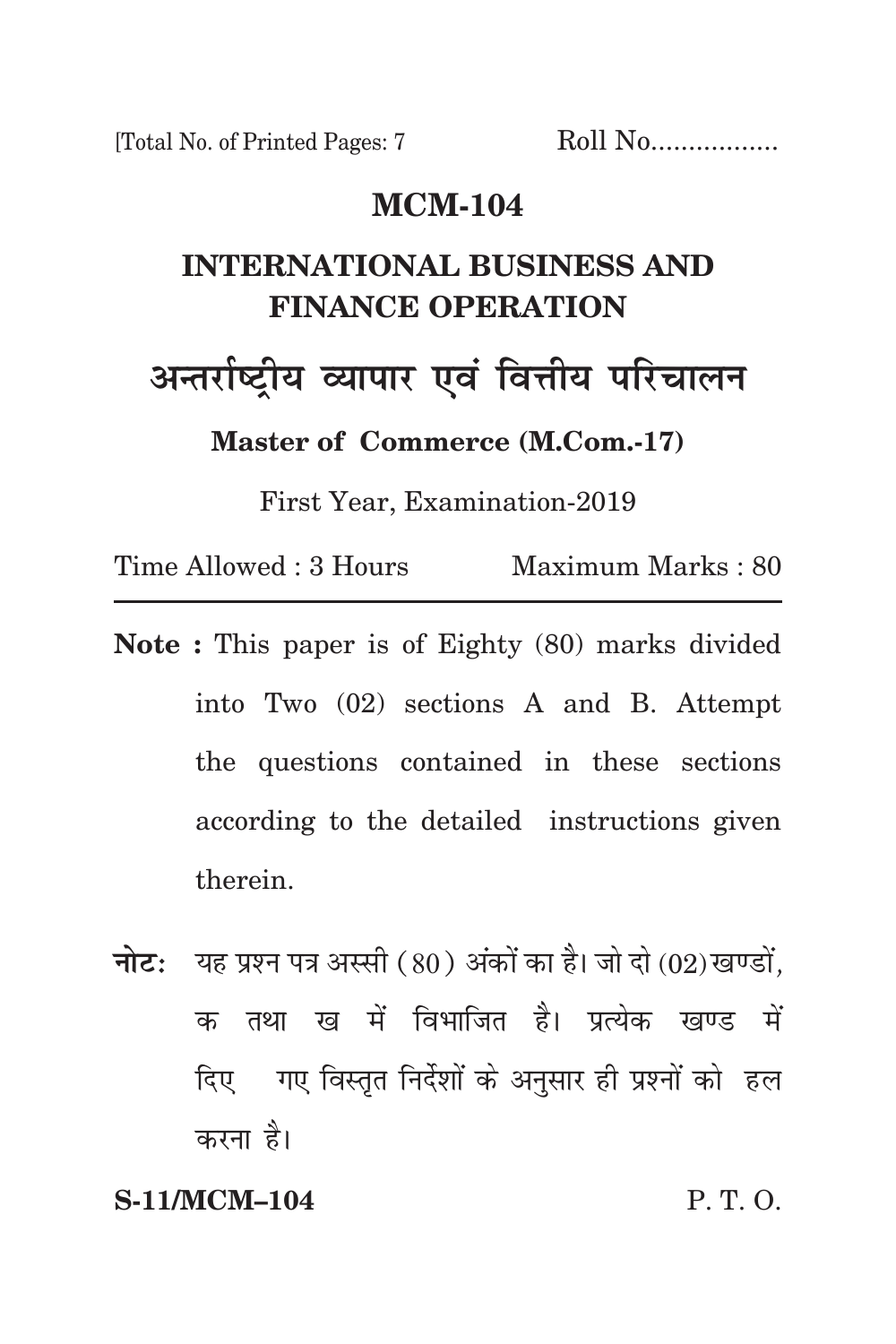[Total No. of Printed Pages: 7 Roll No.................

### **mcm-104**

# **international business and finance operation**

अन्तर्राष्ट्रीय व्यापार एवं वित्तीय परिचाल**न** 

**Master of Commerce (M.Com.-17)**

First Year, Examination-2019

Time Allowed : 3 Hours Maximum Marks : 80

- **Note :** This paper is of Eighty (80) marks divided into Two (02) sections A and B. Attempt the questions contained in these sections according to the detailed instructions given therein.
- **नोट:** यह प्रश्न पत्र अस्सी (80) अंकों का है। जो दो (02) खण्डों, क तथा ख में विभाजित है। प्रत्येक खण्ड में दिए गए विस्तृत निर्देशों के अनुसार ही प्रश्नों को हल करना है।

### **S-11/MCM–104** P. T. O.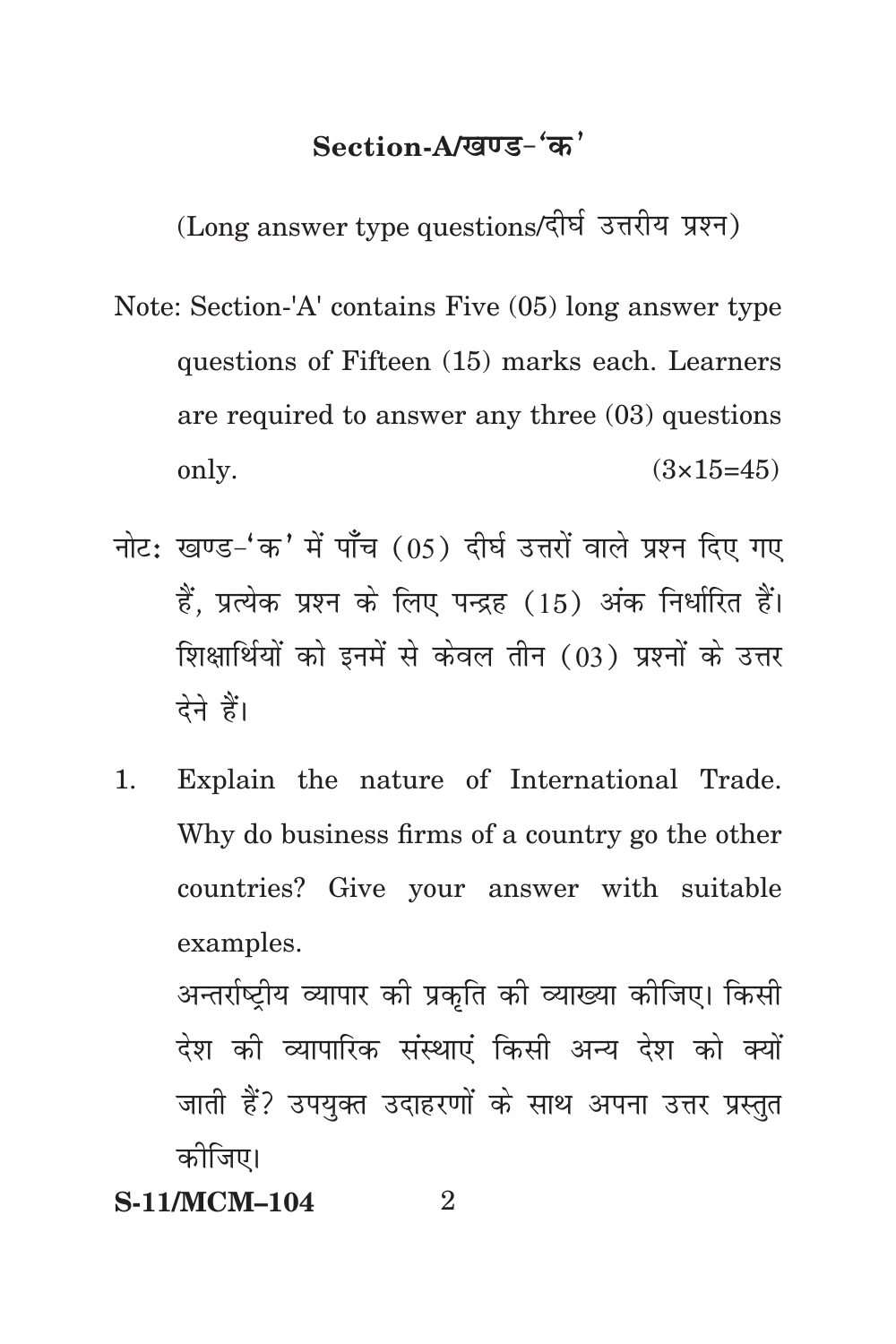## Section-A/<u>खण्ड-</u>'क'

(Long answer type questions/दीर्घ उत्तरीय प्रश्न)

- Note: Section-'A' contains Five (05) long answer type questions of Fifteen (15) marks each. Learners are required to answer any three (03) questions only.  $(3 \times 15 = 45)$
- नोट: खण्ड-'क' में पाँच (05) दीर्घ उत्तरों वाले प्रश्न दिए गए हैं. प्रत्येक प्रश्न के लिए पन्द्रह (15) अंक निर्धारित हैं। शिक्षार्थियों को इनमें से केवल तीन (03) प्रश्नों के उत्तर देने हैं।
- 1. Explain the nature of International Trade. Why do business firms of a country go the other countries? Give your answer with suitable examples. अन्तर्राष्ट्रीय व्यापार को प्रकृति की व्याख्या कोजिए। किसी देश की व्यापारिक संस्थाएं किसी अन्य देश को क्यों जाती हैं? उपयुक्त उदाहरणों के साथ अपना उत्तर प्रस्तुत

कोजिए।

**S-11/MCM-104** 2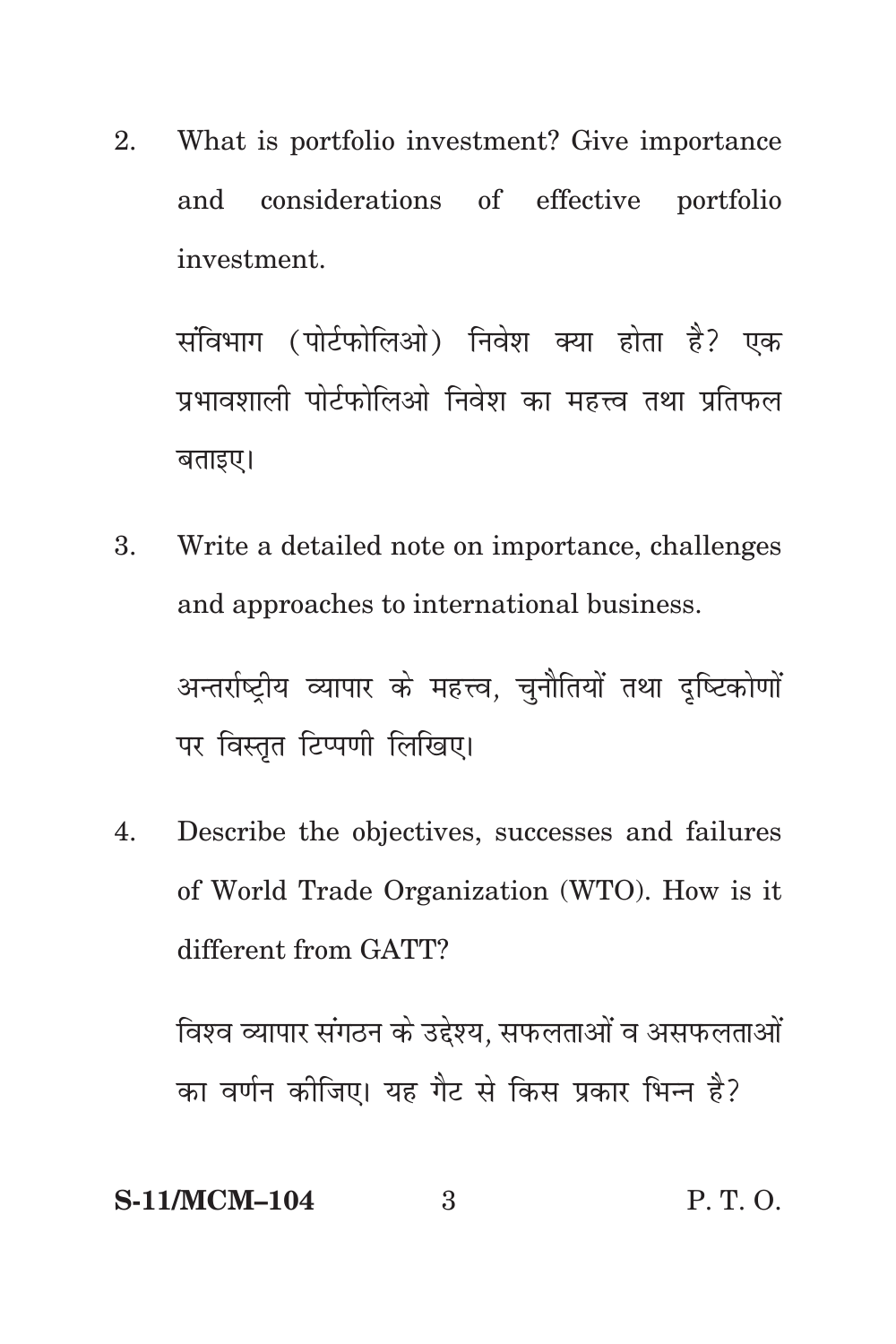What is portfolio investment? Give importance 2. considerations of effective portfolio and investment.

संविभाग (पोर्टफोलिओ) निवेश क्या होता है? एक पभावशाली पोर्टफोलिओ निवेश का महत्त्व तथा प्रतिफल बताइए।

Write a detailed note on importance, challenges 3. and approaches to international business.

अन्तर्राष्टीय व्यापार के महत्त्व. चनौतियों तथा दष्टिकोणों पर विस्तृत टिप्पणी लिखिए।

Describe the objectives, successes and failures 4. of World Trade Organization (WTO). How is it different from GATT?

विश्व व्यापार संगठन के उद्देश्य, सफलताओं व असफलताओं का वर्णन कोजिए। यह गैट से किस प्रकार भिन्न है?

S-11/MCM-104 
$$
3
$$
 P. T. O.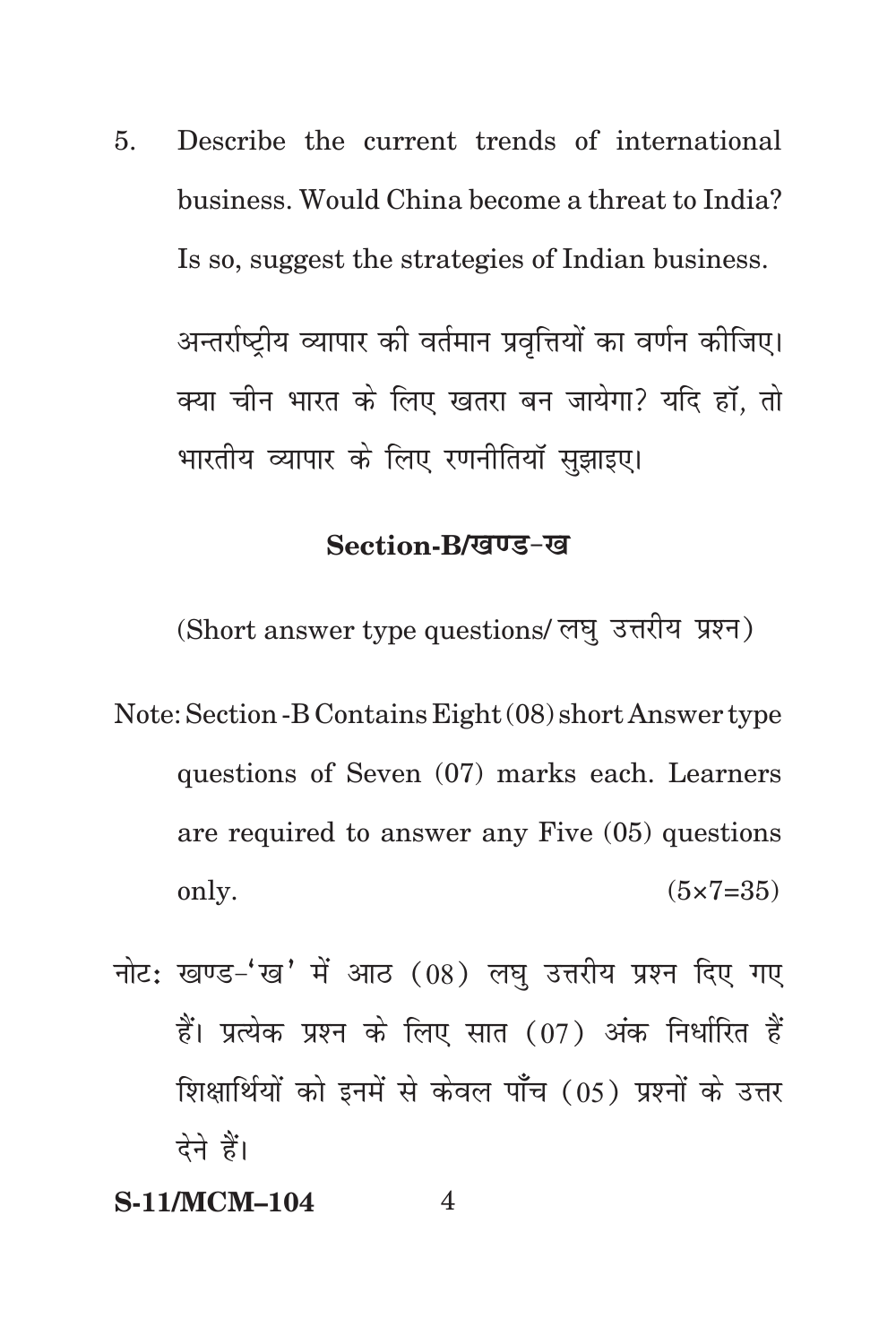Describe the current trends of international 5. business. Would China become a threat to India? Is so, suggest the strategies of Indian business.

अन्तर्राष्टीय व्यापार की वर्तमान प्रवृत्तियों का वर्णन कोजिए। क्या चीन भारत के लिए खतरा बन जायेगा? यदि हाँ. तो भारतीय व्यापार के लिए रणनीतियाँ सझाइए।

#### Section-B/खण्ड-ख

(Short answer type questions/ लघु उत्तरीय प्रश्न)

- Note: Section B Contains Eight (08) short Answer type questions of Seven (07) marks each. Learners are required to answer any Five (05) questions only.  $(5 \times 7 = 35)$
- नोट: खण्ड-'ख' में आठ (08) लघ उत्तरीय प्रश्न दिए गए हैं। प्रत्येक प्रश्न के लिए सात (07) अंक निर्धारित हैं शिक्षार्थियों को इनमें से केवल पाँच (05) प्रश्नों के उत्तर देने हैं।

#### **S-11/MCM-104**  $\overline{\mathcal{A}}$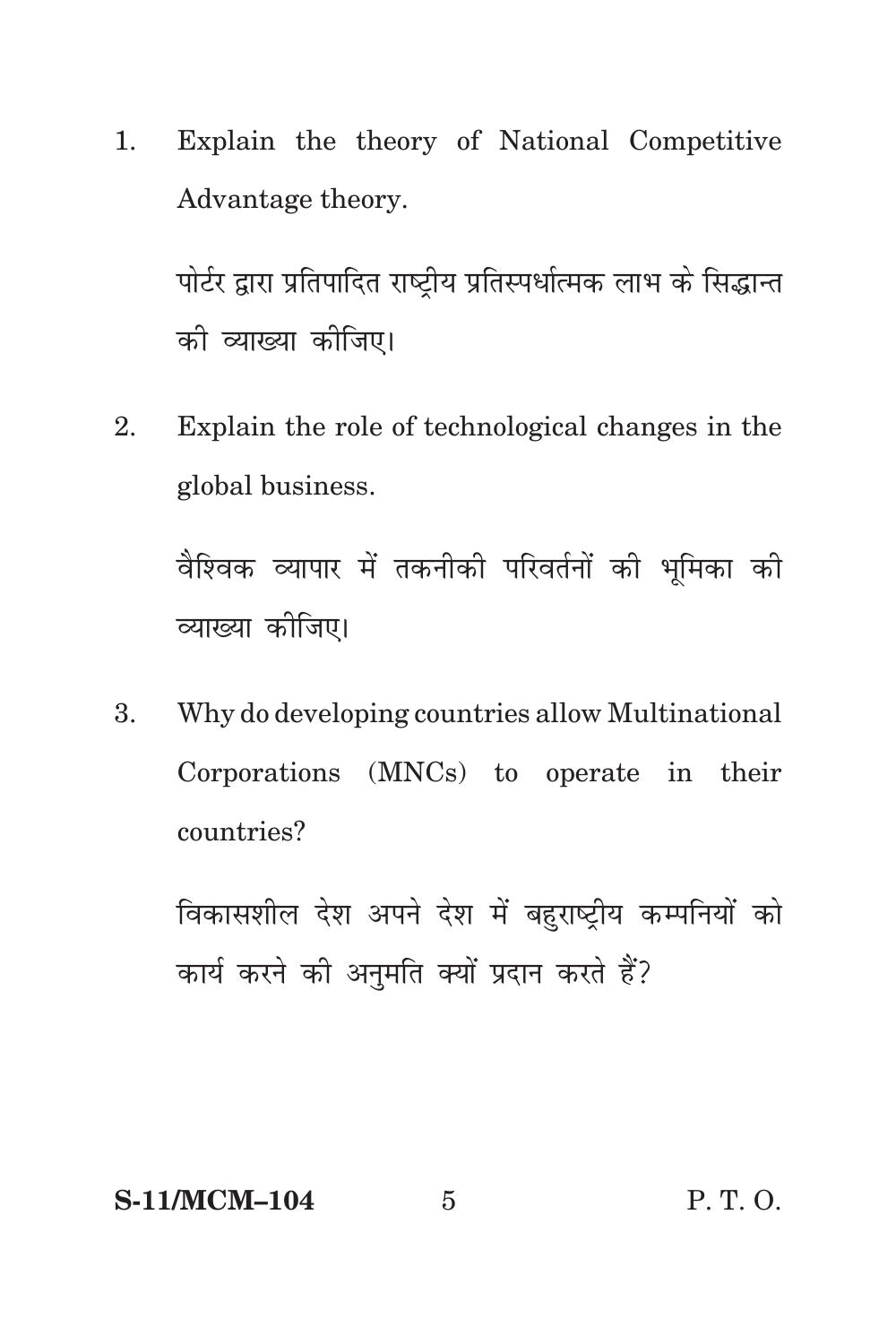$1.$ Explain the theory of National Competitive Advantage theory.

पोर्टर द्वारा प्रतिपादित राष्ट्रीय प्रतिस्पर्धात्मक लाभ के सिद्धान्त को व्याख्या कोजिए।

Explain the role of technological changes in the  $2<sub>1</sub>$ global business.

वैश्विक व्यापार में तकनीकी परिवर्तनों की भूमिका की व्याख्या कोजिए।

Why do developing countries allow Multinational 3. Corporations (MNCs) to operate in their countries?

विकासशील देश अपने देश में बहराष्टीय कम्पनियों को कार्य करने की अनमति क्यों प्रदान करते हैं?

#### **S-11/MCM-104**

 $\overline{5}$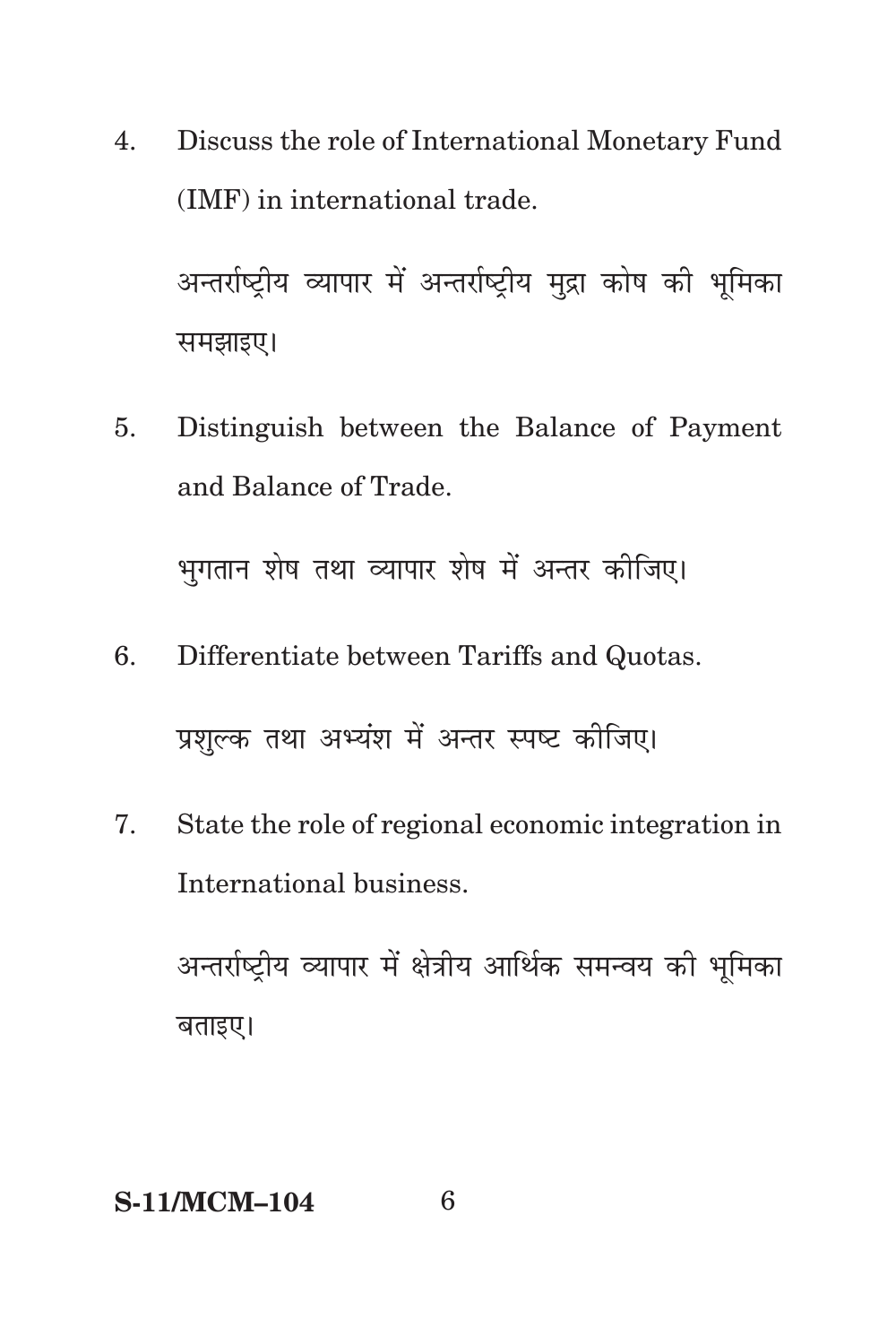Discuss the role of International Monetary Fund 4. (IMF) in international trade.

अन्तर्राष्ट्रीय व्यापार में अन्तर्राष्ट्रीय मुद्रा कोष की भूमिका समझाइए।

Distinguish between the Balance of Payment 5. and Balance of Trade.

भुगतान शेष तथा व्यापार शेष में अन्तर कीजिए।

6. Differentiate between Tariffs and Quotas.

प्रशल्क तथा अभ्यंश में अन्तर स्पष्ट कीजिए।

 $7<sup>1</sup>$ State the role of regional economic integration in International business.

अन्तर्राष्ट्रीय व्यापार में क्षेत्रीय आर्थिक समन्वय की भूमिका बताइए।

#### **S-11/MCM-104**